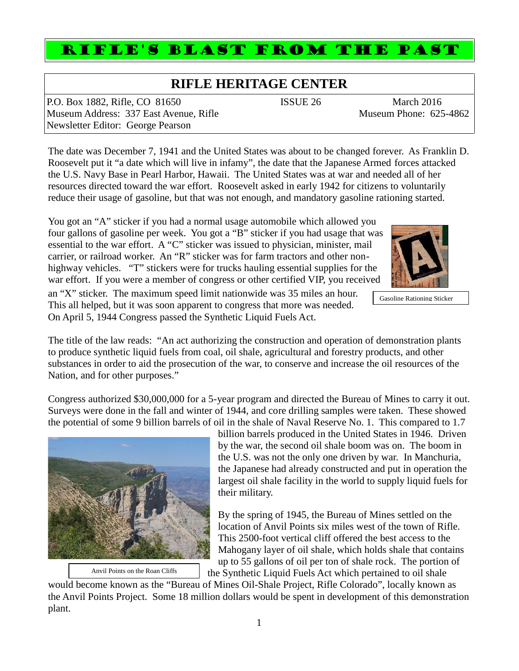## **RIFLE HERITAGE CENTER**

RIFLE'S BLAST FROM THE PAST

P.O. Box 1882, Rifle, CO 81650 ISSUE 26 March 2016 Museum Address: 337 East Avenue, Rifle Museum Phone: 625-4862 Newsletter Editor: George Pearson

The date was December 7, 1941 and the United States was about to be changed forever. As Franklin D. Roosevelt put it "a date which will live in infamy", the date that the Japanese Armed forces attacked the U.S. Navy Base in Pearl Harbor, Hawaii. The United States was at war and needed all of her resources directed toward the war effort. Roosevelt asked in early 1942 for citizens to voluntarily reduce their usage of gasoline, but that was not enough, and mandatory gasoline rationing started.

You got an "A" sticker if you had a normal usage automobile which allowed you four gallons of gasoline per week. You got a "B" sticker if you had usage that was essential to the war effort. A "C" sticker was issued to physician, minister, mail carrier, or railroad worker. An "R" sticker was for farm tractors and other non highway vehicles. "T" stickers were for trucks hauling essential supplies for the war effort. If you were a member of congress or other certified VIP, you received

an "X" sticker. The maximum speed limit nationwide was 35 miles an hour. This all helped, but it was soon apparent to congress that more was needed. On April 5, 1944 Congress passed the Synthetic Liquid Fuels Act.

The title of the law reads: "An act authorizing the construction and operation of demonstration plants to produce synthetic liquid fuels from coal, oil shale, agricultural and forestry products, and other substances in order to aid the prosecution of the war, to conserve and increase the oil resources of the Nation, and for other purposes."

Congress authorized \$30,000,000 for a 5-year program and directed the Bureau of Mines to carry it out. Surveys were done in the fall and winter of 1944, and core drilling samples were taken. These showed the potential of some 9 billion barrels of oil in the shale of Naval Reserve No. 1. This compared to 1.7

billion barrels produced in the United States in 1946. Driven by the war, the second oil shale boom was on. The boom in the U.S. was not the only one driven by war. In Manchuria, the Japanese had already constructed and put in operation the largest oil shale facility in the world to supply liquid fuels for their military.

By the spring of 1945, the Bureau of Mines settled on the location of Anvil Points six miles west of the town of Rifle. This 2500-foot vertical cliff offered the best access to the Mahogany layer of oil shale, which holds shale that contains up to 55 gallons of oil per ton of shale rock. The portion of

the Synthetic Liquid Fuels Act which pertained to oil shale

would become known as the "Bureau of Mines Oil-Shale Project, Rifle Colorado", locally known as the Anvil Points Project. Some 18 million dollars would be spent in development of this demonstration plant.



Gasoline Rationing Sticker



Anvil Points on the Roan Cliffs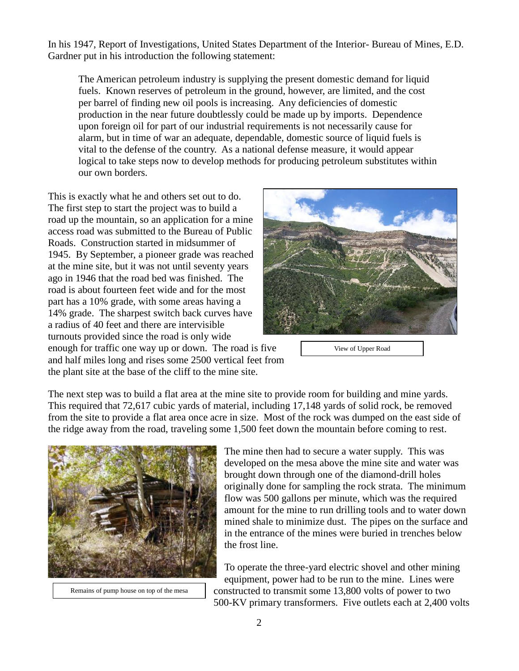In his 1947, Report of Investigations, United States Department of the Interior- Bureau of Mines, E.D. Gardner put in his introduction the following statement:

The American petroleum industry is supplying the present domestic demand for liquid fuels. Known reserves of petroleum in the ground, however, are limited, and the cost per barrel of finding new oil pools is increasing. Any deficiencies of domestic production in the near future doubtlessly could be made up by imports. Dependence upon foreign oil for part of our industrial requirements is not necessarily cause for alarm, but in time of war an adequate, dependable, domestic source of liquid fuels is vital to the defense of the country. As a national defense measure, it would appear logical to take steps now to develop methods for producing petroleum substitutes within our own borders.

This is exactly what he and others set out to do. The first step to start the project was to build a road up the mountain, so an application for a mine access road was submitted to the Bureau of Public Roads. Construction started in midsummer of 1945. By September, a pioneer grade was reached at the mine site, but it was not until seventy years ago in 1946 that the road bed was finished. The road is about fourteen feet wide and for the most part has a 10% grade, with some areas having a 14% grade. The sharpest switch back curves have a radius of 40 feet and there are intervisible turnouts provided since the road is only wide enough for traffic one way up or down. The road is five and half miles long and rises some 2500 vertical feet from the plant site at the base of the cliff to the mine site.



View of Upper Road

The next step was to build a flat area at the mine site to provide room for building and mine yards. This required that 72,617 cubic yards of material, including 17,148 yards of solid rock, be removed from the site to provide a flat area once acre in size. Most of the rock was dumped on the east side of the ridge away from the road, traveling some 1,500 feet down the mountain before coming to rest.



Remains of pump house on top of the mesa

The mine then had to secure a water supply. This was developed on the mesa above the mine site and water was brought down through one of the diamond-drill holes originally done for sampling the rock strata. The minimum flow was 500 gallons per minute, which was the required amount for the mine to run drilling tools and to water down mined shale to minimize dust. The pipes on the surface and in the entrance of the mines were buried in trenches below the frost line.

To operate the three-yard electric shovel and other mining equipment, power had to be run to the mine. Lines were constructed to transmit some 13,800 volts of power to two 500-KV primary transformers. Five outlets each at 2,400 volts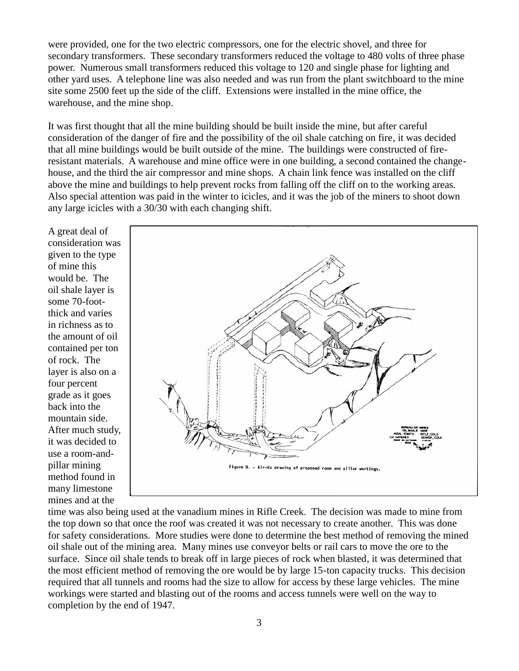were provided, one for the two electric compressors, one for the electric shovel, and three for secondary transformers. These secondary transformers reduced the voltage to 480 volts of three phase power. Numerous small transformers reduced this voltage to 120 and single phase for lighting and other yard uses. A telephone line was also needed and was run from the plant switchboard to the mine site some 2500 feet up the side of the cliff. Extensions were installed in the mine office, the warehouse, and the mine shop.

It was first thought that all the mine building should be built inside the mine, but after careful consideration of the danger of fire and the possibility of the oil shale catching on fire, it was decided that all mine buildings would be built outside of the mine. The buildings were constructed of fireresistant materials. A warehouse and mine office were in one building, a second contained the change house, and the third the air compressor and mine shops. A chain link fence was installed on the cliff above the mine and buildings to help prevent rocks from falling off the cliff on to the working areas. Also special attention was paid in the winter to icicles, and it was the job of the miners to shoot down any large icicles with a 30/30 with each changing shift.

A great deal of consideration was given to the type of mine this would be. The oil shale layer is some 70-footthick and varies in richness as to the amount of oil contained per ton of rock. The layer is also on a four percent grade as it goes back into the mountain side. After much study, it was decided to use a room-and pillar mining method found in many limestone mines and at the



time was also being used at the vanadium mines in Rifle Creek. The decision was made to mine from the top down so that once the roof was created it was not necessary to create another. This was done for safety considerations. More studies were done to determine the best method of removing the mined oil shale out of the mining area. Many mines use conveyor belts or rail cars to move the ore to the surface. Since oil shale tends to break off in large pieces of rock when blasted, it was determined that the most efficient method of removing the ore would be by large 15-ton capacity trucks. This decision required that all tunnels and rooms had the size to allow for access by these large vehicles. The mine workings were started and blasting out of the rooms and access tunnels were well on the way to completion by the end of 1947.